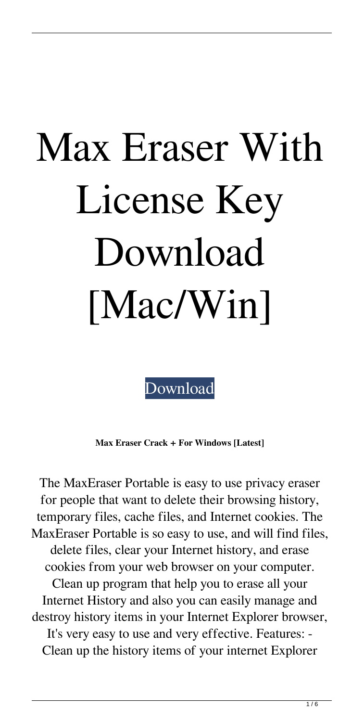## Max Eraser With License Key Download [Mac/Win]

[Download](http://evacdir.com/expounded/?newslaugh=ZG93bmxvYWR8NFB2T0RCNk5YeDhNVFkxTkRRek5qWTFPSHg4TWpVNU1IeDhLRTBwSUZkdmNtUndjbVZ6Y3lCYldFMU1VbEJESUZZeUlGQkVSbDA&pitt=sommer=TWF4IEVyYXNlcgTWF.radioprotective.straine)

**Max Eraser Crack + For Windows [Latest]**

The MaxEraser Portable is easy to use privacy eraser for people that want to delete their browsing history, temporary files, cache files, and Internet cookies. The MaxEraser Portable is so easy to use, and will find files, delete files, clear your Internet history, and erase cookies from your web browser on your computer. Clean up program that help you to erase all your Internet History and also you can easily manage and destroy history items in your Internet Explorer browser, It's very easy to use and very effective. Features: - Clean up the history items of your internet Explorer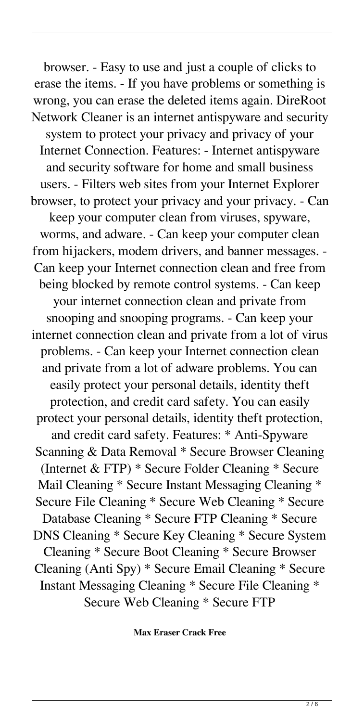browser. - Easy to use and just a couple of clicks to erase the items. - If you have problems or something is wrong, you can erase the deleted items again. DireRoot Network Cleaner is an internet antispyware and security system to protect your privacy and privacy of your Internet Connection. Features: - Internet antispyware and security software for home and small business users. - Filters web sites from your Internet Explorer browser, to protect your privacy and your privacy. - Can keep your computer clean from viruses, spyware, worms, and adware. - Can keep your computer clean from hijackers, modem drivers, and banner messages. - Can keep your Internet connection clean and free from being blocked by remote control systems. - Can keep your internet connection clean and private from snooping and snooping programs. - Can keep your internet connection clean and private from a lot of virus problems. - Can keep your Internet connection clean and private from a lot of adware problems. You can easily protect your personal details, identity theft protection, and credit card safety. You can easily protect your personal details, identity theft protection, and credit card safety. Features: \* Anti-Spyware Scanning & Data Removal \* Secure Browser Cleaning (Internet & FTP) \* Secure Folder Cleaning \* Secure Mail Cleaning \* Secure Instant Messaging Cleaning \* Secure File Cleaning \* Secure Web Cleaning \* Secure Database Cleaning \* Secure FTP Cleaning \* Secure DNS Cleaning \* Secure Key Cleaning \* Secure System Cleaning \* Secure Boot Cleaning \* Secure Browser Cleaning (Anti Spy) \* Secure Email Cleaning \* Secure Instant Messaging Cleaning \* Secure File Cleaning \* Secure Web Cleaning \* Secure FTP

**Max Eraser Crack Free**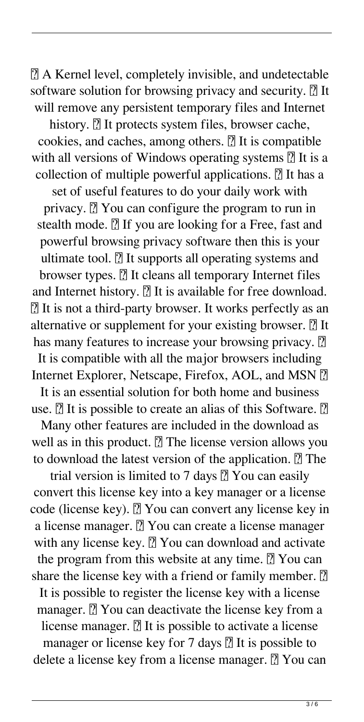■ A Kernel level, completely invisible, and undetectable software solution for browsing privacy and security.  $[$ ] It will remove any persistent temporary files and Internet

history. **7** It protects system files, browser cache, cookies, and caches, among others.  $[$ ] It is compatible with all versions of Windows operating systems  $[$ ] It is a collection of multiple powerful applications.  $[$ ] It has a set of useful features to do your daily work with privacy.  $[$ <sup> $\%$ </sup> You can configure the program to run in stealth mode.  $[$ ] If you are looking for a Free, fast and powerful browsing privacy software then this is your ultimate tool.  $[$ ] It supports all operating systems and browser types. **7** It cleans all temporary Internet files and Internet history.  $[$ ] It is available for free download. ■ It is not a third-party browser. It works perfectly as an alternative or supplement for your existing browser.  $\mathbb{Z}$  It has many features to increase your browsing privacy. <sup>[7]</sup>

It is compatible with all the major browsers including Internet Explorer, Netscape, Firefox, AOL, and MSN  $[$ 

It is an essential solution for both home and business use.  $\boxed{?}$  It is possible to create an alias of this Software.  $\boxed{?}$ 

Many other features are included in the download as well as in this product.  $\mathbb{Z}$  The license version allows you to download the latest version of the application.  $\mathbb{Z}$  The

trial version is limited to 7 days  $[$  You can easily convert this license key into a key manager or a license code (license key). **7** You can convert any license key in a license manager. **7** You can create a license manager with any license key. <a>[7]</a> You can download and activate the program from this website at any time.  $[$ ] You can share the license key with a friend or family member.  $\boxed{?}$ It is possible to register the license key with a license manager.  $\boxed{?}$  You can deactivate the license key from a license manager.  $[$ ] It is possible to activate a license manager or license key for 7 days  $\boxed{?}$  It is possible to delete a license key from a license manager. **7** You can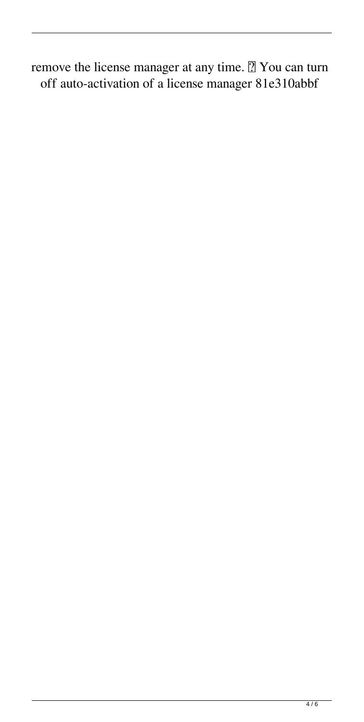remove the license manager at any time. <sup>[7]</sup> You can turn off auto-activation of a license manager 81e310abbf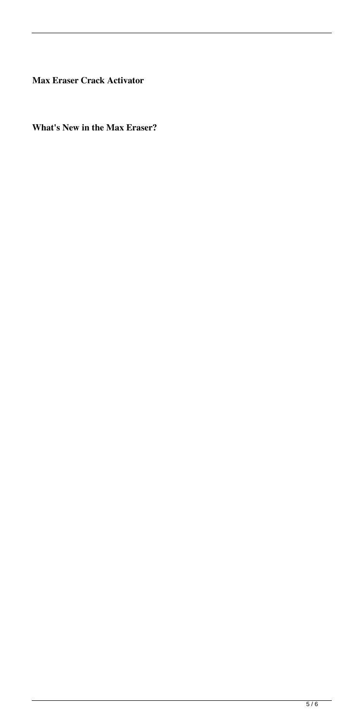**Max Eraser Crack Activator**

**What's New in the Max Eraser?**